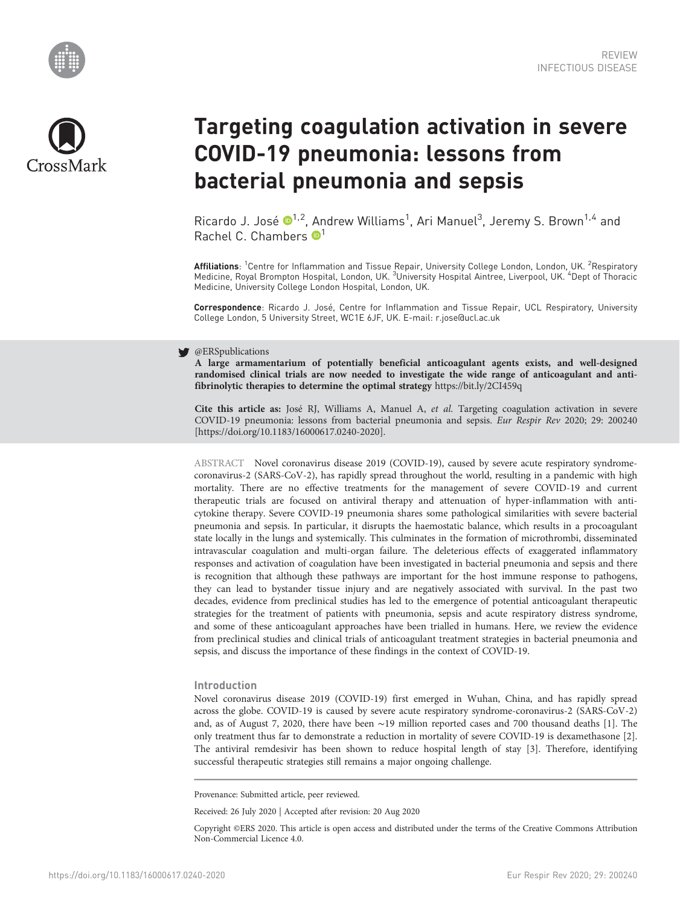



# Targeting coagulation activation in severe COVID-19 pneumonia: lessons from bacterial pneumonia and sepsis

Ricardo J. José  $\mathbf{D}^{1,2}$ , Andrew Williams<sup>1</sup>, Ari Manuel<sup>3</sup>, Jeremy S. Brown<sup>1,4</sup> and Rachel C. Chambers  $\mathbf{P}^1$ 

**Affiliations**: <sup>1</sup>Centre for Inflammation and Tissue Repair, University College London, London, UK. <sup>2</sup>Respiratory<br>Medicine, Royal Brompton Hospital, London, UK. <sup>3</sup>University Hospital Aintree, Liverpool, UK. <sup>4</sup>Dept of T Medicine, University College London Hospital, London, UK.

Correspondence: Ricardo J. José, Centre for Inflammation and Tissue Repair, UCL Respiratory, University College London, 5 University Street, WC1E 6JF, UK. E-mail: [r.jose@ucl.ac.uk](mailto:r.jose@ucl.ac.uk)

## **S** @ERSpublications

A large armamentarium of potentially beneficial anticoagulant agents exists, and well-designed randomised clinical trials are now needed to investigate the wide range of anticoagulant and antifibrinolytic therapies to determine the optimal strategy <https://bit.ly/2CI459q>

Cite this article as: José RJ, Williams A, Manuel A, et al. Targeting coagulation activation in severe COVID-19 pneumonia: lessons from bacterial pneumonia and sepsis. Eur Respir Rev 2020; 29: 200240 [\[https://doi.org/10.1183/16000617.0240-2020\].](https://doi.org/10.1183/16000617.0240-2020)

ABSTRACT Novel coronavirus disease 2019 (COVID-19), caused by severe acute respiratory syndromecoronavirus-2 (SARS-CoV-2), has rapidly spread throughout the world, resulting in a pandemic with high mortality. There are no effective treatments for the management of severe COVID-19 and current therapeutic trials are focused on antiviral therapy and attenuation of hyper-inflammation with anticytokine therapy. Severe COVID-19 pneumonia shares some pathological similarities with severe bacterial pneumonia and sepsis. In particular, it disrupts the haemostatic balance, which results in a procoagulant state locally in the lungs and systemically. This culminates in the formation of microthrombi, disseminated intravascular coagulation and multi-organ failure. The deleterious effects of exaggerated inflammatory responses and activation of coagulation have been investigated in bacterial pneumonia and sepsis and there is recognition that although these pathways are important for the host immune response to pathogens, they can lead to bystander tissue injury and are negatively associated with survival. In the past two decades, evidence from preclinical studies has led to the emergence of potential anticoagulant therapeutic strategies for the treatment of patients with pneumonia, sepsis and acute respiratory distress syndrome, and some of these anticoagulant approaches have been trialled in humans. Here, we review the evidence from preclinical studies and clinical trials of anticoagulant treatment strategies in bacterial pneumonia and sepsis, and discuss the importance of these findings in the context of COVID-19.

## Introduction

Novel coronavirus disease 2019 (COVID-19) first emerged in Wuhan, China, and has rapidly spread across the globe. COVID-19 is caused by severe acute respiratory syndrome-coronavirus-2 (SARS-CoV-2) and, as of August 7, 2020, there have been ∼19 million reported cases and 700 thousand deaths [[1](#page-8-0)]. The only treatment thus far to demonstrate a reduction in mortality of severe COVID-19 is dexamethasone [\[2](#page-8-0)]. The antiviral remdesivir has been shown to reduce hospital length of stay [\[3\]](#page-8-0). Therefore, identifying successful therapeutic strategies still remains a major ongoing challenge.

Provenance: Submitted article, peer reviewed.

Received: 26 July 2020 | Accepted after revision: 20 Aug 2020

Copyright ©ERS 2020. This article is open access and distributed under the terms of the Creative Commons Attribution Non-Commercial Licence 4.0.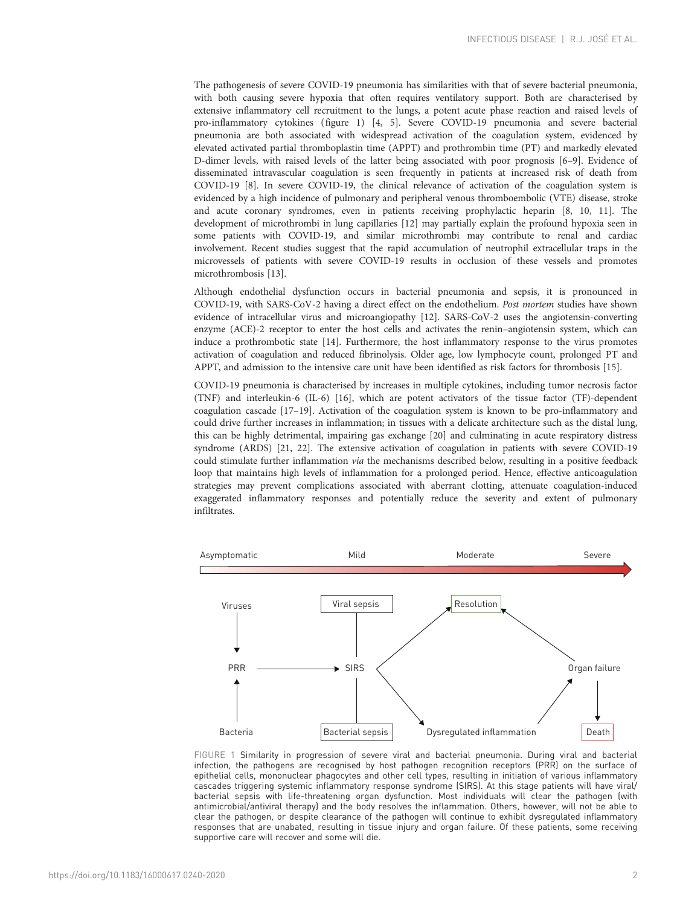The pathogenesis of severe COVID-19 pneumonia has similarities with that of severe bacterial pneumonia, with both causing severe hypoxia that often requires ventilatory support. Both are characterised by extensive inflammatory cell recruitment to the lungs, a potent acute phase reaction and raised levels of pro-inflammatory cytokines (figure 1) [\[4](#page-8-0), [5](#page-8-0)]. Severe COVID-19 pneumonia and severe bacterial pneumonia are both associated with widespread activation of the coagulation system, evidenced by elevated activated partial thromboplastin time (APPT) and prothrombin time (PT) and markedly elevated D-dimer levels, with raised levels of the latter being associated with poor prognosis [[6](#page-8-0)–[9](#page-8-0)]. Evidence of disseminated intravascular coagulation is seen frequently in patients at increased risk of death from COVID-19 [\[8\]](#page-8-0). In severe COVID-19, the clinical relevance of activation of the coagulation system is evidenced by a high incidence of pulmonary and peripheral venous thromboembolic (VTE) disease, stroke and acute coronary syndromes, even in patients receiving prophylactic heparin [\[8, 10](#page-8-0), [11](#page-8-0)]. The development of microthrombi in lung capillaries [[12](#page-8-0)] may partially explain the profound hypoxia seen in some patients with COVID-19, and similar microthrombi may contribute to renal and cardiac involvement. Recent studies suggest that the rapid accumulation of neutrophil extracellular traps in the microvessels of patients with severe COVID-19 results in occlusion of these vessels and promotes microthrombosis [\[13\]](#page-8-0).

Although endothelial dysfunction occurs in bacterial pneumonia and sepsis, it is pronounced in COVID-19, with SARS-CoV-2 having a direct effect on the endothelium. Post mortem studies have shown evidence of intracellular virus and microangiopathy [[12](#page-8-0)]. SARS-CoV-2 uses the angiotensin-converting enzyme (ACE)-2 receptor to enter the host cells and activates the renin–angiotensin system, which can induce a prothrombotic state [\[14\]](#page-8-0). Furthermore, the host inflammatory response to the virus promotes activation of coagulation and reduced fibrinolysis. Older age, low lymphocyte count, prolonged PT and APPT, and admission to the intensive care unit have been identified as risk factors for thrombosis [\[15\]](#page-8-0).

COVID-19 pneumonia is characterised by increases in multiple cytokines, including tumor necrosis factor (TNF) and interleukin-6 (IL-6) [[16](#page-8-0)], which are potent activators of the tissue factor (TF)-dependent coagulation cascade [[17](#page-8-0)–[19](#page-8-0)]. Activation of the coagulation system is known to be pro-inflammatory and could drive further increases in inflammation; in tissues with a delicate architecture such as the distal lung, this can be highly detrimental, impairing gas exchange [\[20](#page-8-0)] and culminating in acute respiratory distress syndrome (ARDS) [[21](#page-8-0), [22](#page-8-0)]. The extensive activation of coagulation in patients with severe COVID-19 could stimulate further inflammation via the mechanisms described below, resulting in a positive feedback loop that maintains high levels of inflammation for a prolonged period. Hence, effective anticoagulation strategies may prevent complications associated with aberrant clotting, attenuate coagulation-induced exaggerated inflammatory responses and potentially reduce the severity and extent of pulmonary infiltrates.



FIGURE 1 Similarity in progression of severe viral and bacterial pneumonia. During viral and bacterial infection, the pathogens are recognised by host pathogen recognition receptors (PRR) on the surface of epithelial cells, mononuclear phagocytes and other cell types, resulting in initiation of various inflammatory cascades triggering systemic inflammatory response syndrome (SIRS). At this stage patients will have viral/ bacterial sepsis with life-threatening organ dysfunction. Most individuals will clear the pathogen (with antimicrobial/antiviral therapy) and the body resolves the inflammation. Others, however, will not be able to clear the pathogen, or despite clearance of the pathogen will continue to exhibit dysregulated inflammatory responses that are unabated, resulting in tissue injury and organ failure. Of these patients, some receiving supportive care will recover and some will die.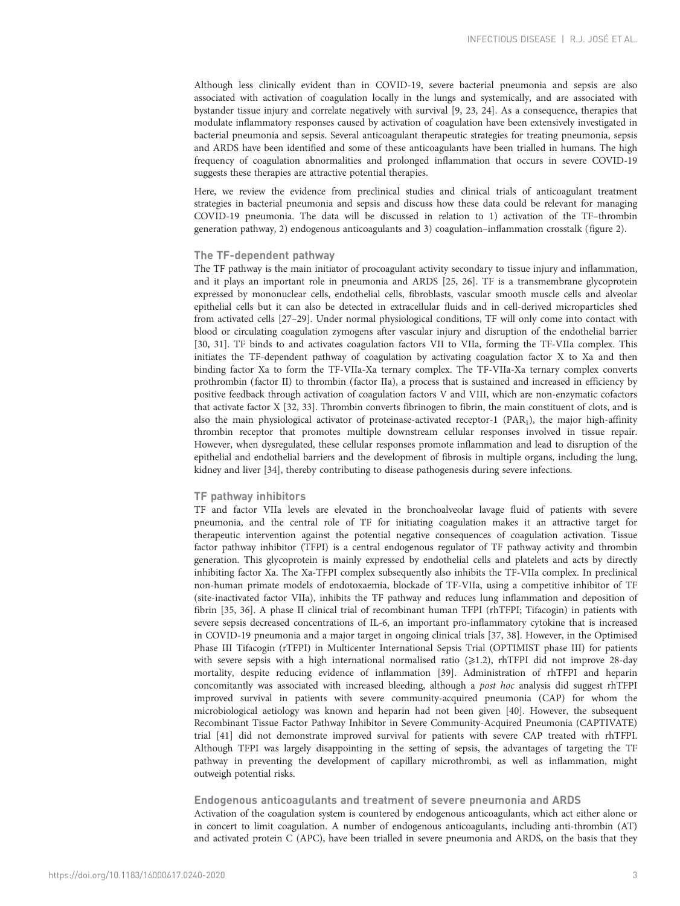Although less clinically evident than in COVID-19, severe bacterial pneumonia and sepsis are also associated with activation of coagulation locally in the lungs and systemically, and are associated with bystander tissue injury and correlate negatively with survival [[9](#page-8-0), [23, 24\]](#page-8-0). As a consequence, therapies that modulate inflammatory responses caused by activation of coagulation have been extensively investigated in bacterial pneumonia and sepsis. Several anticoagulant therapeutic strategies for treating pneumonia, sepsis and ARDS have been identified and some of these anticoagulants have been trialled in humans. The high frequency of coagulation abnormalities and prolonged inflammation that occurs in severe COVID-19 suggests these therapies are attractive potential therapies.

Here, we review the evidence from preclinical studies and clinical trials of anticoagulant treatment strategies in bacterial pneumonia and sepsis and discuss how these data could be relevant for managing COVID-19 pneumonia. The data will be discussed in relation to 1) activation of the TF–thrombin generation pathway, 2) endogenous anticoagulants and 3) coagulation–inflammation crosstalk ([figure 2\)](#page-3-0).

## The TF-dependent pathway

The TF pathway is the main initiator of procoagulant activity secondary to tissue injury and inflammation, and it plays an important role in pneumonia and ARDS [[25](#page-8-0), [26\]](#page-8-0). TF is a transmembrane glycoprotein expressed by mononuclear cells, endothelial cells, fibroblasts, vascular smooth muscle cells and alveolar epithelial cells but it can also be detected in extracellular fluids and in cell-derived microparticles shed from activated cells [[27](#page-8-0)–[29\]](#page-8-0). Under normal physiological conditions, TF will only come into contact with blood or circulating coagulation zymogens after vascular injury and disruption of the endothelial barrier [\[30, 31](#page-8-0)]. TF binds to and activates coagulation factors VII to VIIa, forming the TF-VIIa complex. This initiates the TF-dependent pathway of coagulation by activating coagulation factor X to Xa and then binding factor Xa to form the TF-VIIa-Xa ternary complex. The TF-VIIa-Xa ternary complex converts prothrombin (factor II) to thrombin (factor IIa), a process that is sustained and increased in efficiency by positive feedback through activation of coagulation factors V and VIII, which are non-enzymatic cofactors that activate factor X [\[32, 33](#page-8-0)]. Thrombin converts fibrinogen to fibrin, the main constituent of clots, and is also the main physiological activator of proteinase-activated receptor-1 ( $PAR_1$ ), the major high-affinity thrombin receptor that promotes multiple downstream cellular responses involved in tissue repair. However, when dysregulated, these cellular responses promote inflammation and lead to disruption of the epithelial and endothelial barriers and the development of fibrosis in multiple organs, including the lung, kidney and liver [\[34\]](#page-9-0), thereby contributing to disease pathogenesis during severe infections.

## TF pathway inhibitors

TF and factor VIIa levels are elevated in the bronchoalveolar lavage fluid of patients with severe pneumonia, and the central role of TF for initiating coagulation makes it an attractive target for therapeutic intervention against the potential negative consequences of coagulation activation. Tissue factor pathway inhibitor (TFPI) is a central endogenous regulator of TF pathway activity and thrombin generation. This glycoprotein is mainly expressed by endothelial cells and platelets and acts by directly inhibiting factor Xa. The Xa-TFPI complex subsequently also inhibits the TF-VIIa complex. In preclinical non-human primate models of endotoxaemia, blockade of TF-VIIa, using a competitive inhibitor of TF (site-inactivated factor VIIa), inhibits the TF pathway and reduces lung inflammation and deposition of fibrin [\[35](#page-9-0), [36\]](#page-9-0). A phase II clinical trial of recombinant human TFPI (rhTFPI; Tifacogin) in patients with severe sepsis decreased concentrations of IL-6, an important pro-inflammatory cytokine that is increased in COVID-19 pneumonia and a major target in ongoing clinical trials [\[37](#page-9-0), [38](#page-9-0)]. However, in the Optimised Phase III Tifacogin (rTFPI) in Multicenter International Sepsis Trial (OPTIMIST phase III) for patients with severe sepsis with a high international normalised ratio  $(\geq 1.2)$ , rhTFPI did not improve 28-day mortality, despite reducing evidence of inflammation [\[39\]](#page-9-0). Administration of rhTFPI and heparin concomitantly was associated with increased bleeding, although a post hoc analysis did suggest rhTFPI improved survival in patients with severe community-acquired pneumonia (CAP) for whom the microbiological aetiology was known and heparin had not been given [\[40\]](#page-9-0). However, the subsequent Recombinant Tissue Factor Pathway Inhibitor in Severe Community-Acquired Pneumonia (CAPTIVATE) trial [\[41](#page-9-0)] did not demonstrate improved survival for patients with severe CAP treated with rhTFPI. Although TFPI was largely disappointing in the setting of sepsis, the advantages of targeting the TF pathway in preventing the development of capillary microthrombi, as well as inflammation, might outweigh potential risks.

## Endogenous anticoagulants and treatment of severe pneumonia and ARDS

Activation of the coagulation system is countered by endogenous anticoagulants, which act either alone or in concert to limit coagulation. A number of endogenous anticoagulants, including anti-thrombin (AT) and activated protein C (APC), have been trialled in severe pneumonia and ARDS, on the basis that they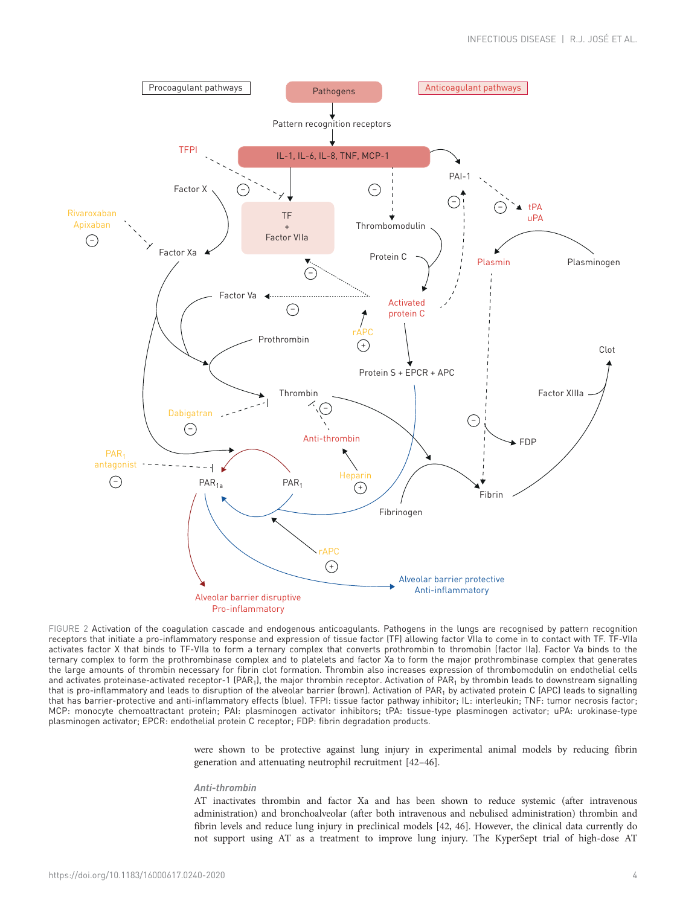<span id="page-3-0"></span>

FIGURE 2 Activation of the coagulation cascade and endogenous anticoagulants. Pathogens in the lungs are recognised by pattern recognition receptors that initiate a pro-inflammatory response and expression of tissue factor (TF) allowing factor VIIa to come in to contact with TF. TF-VIIa activates factor X that binds to TF-VIIa to form a ternary complex that converts prothrombin to thromobin (factor IIa). Factor Va binds to the ternary complex to form the prothrombinase complex and to platelets and factor Xa to form the major prothrombinase complex that generates the large amounts of thrombin necessary for fibrin clot formation. Thrombin also increases expression of thrombomodulin on endothelial cells and activates proteinase-activated receptor-1 (PAR<sub>1</sub>), the major thrombin receptor. Activation of PAR<sub>1</sub> by thrombin leads to downstream signalling that is pro-inflammatory and leads to disruption of the alveolar barrier (brown). Activation of PAR<sub>1</sub> by activated protein C (APC) leads to signalling that has barrier-protective and anti-inflammatory effects (blue). TFPI: tissue factor pathway inhibitor; IL: interleukin; TNF: tumor necrosis factor; MCP: monocyte chemoattractant protein; PAI: plasminogen activator inhibitors; tPA: tissue-type plasminogen activator; uPA: urokinase-type plasminogen activator; EPCR: endothelial protein C receptor; FDP: fibrin degradation products.

were shown to be protective against lung injury in experimental animal models by reducing fibrin generation and attenuating neutrophil recruitment [[42](#page-9-0)–[46](#page-9-0)].

#### Anti-thrombin

AT inactivates thrombin and factor Xa and has been shown to reduce systemic (after intravenous administration) and bronchoalveolar (after both intravenous and nebulised administration) thrombin and fibrin levels and reduce lung injury in preclinical models [\[42, 46\]](#page-9-0). However, the clinical data currently do not support using AT as a treatment to improve lung injury. The KyperSept trial of high-dose AT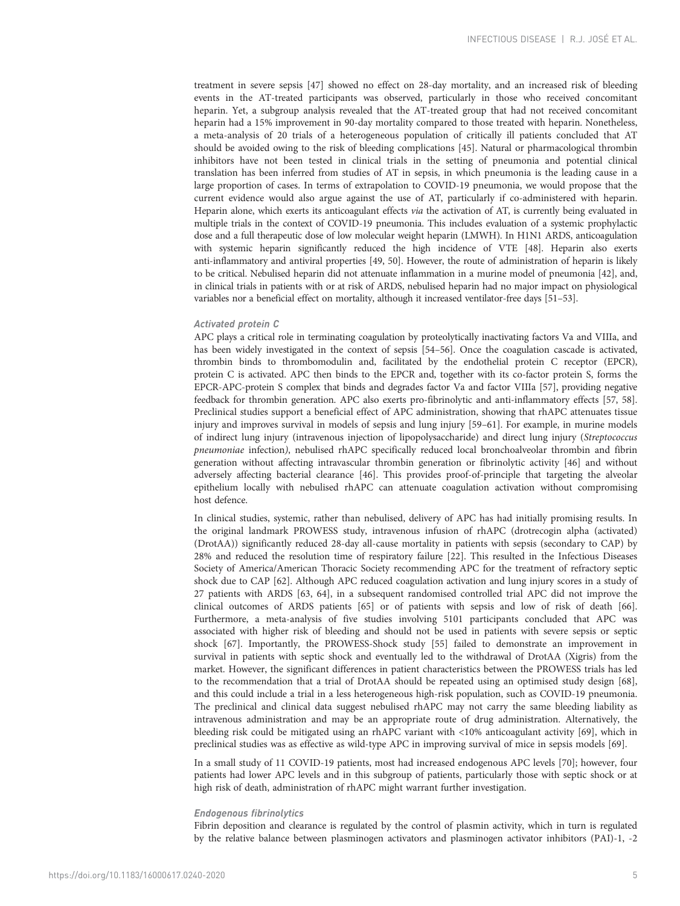treatment in severe sepsis [\[47\]](#page-9-0) showed no effect on 28-day mortality, and an increased risk of bleeding events in the AT-treated participants was observed, particularly in those who received concomitant heparin. Yet, a subgroup analysis revealed that the AT-treated group that had not received concomitant heparin had a 15% improvement in 90-day mortality compared to those treated with heparin. Nonetheless, a meta-analysis of 20 trials of a heterogeneous population of critically ill patients concluded that AT should be avoided owing to the risk of bleeding complications [\[45](#page-9-0)]. Natural or pharmacological thrombin inhibitors have not been tested in clinical trials in the setting of pneumonia and potential clinical translation has been inferred from studies of AT in sepsis, in which pneumonia is the leading cause in a large proportion of cases. In terms of extrapolation to COVID-19 pneumonia, we would propose that the current evidence would also argue against the use of AT, particularly if co-administered with heparin. Heparin alone, which exerts its anticoagulant effects via the activation of AT, is currently being evaluated in multiple trials in the context of COVID-19 pneumonia. This includes evaluation of a systemic prophylactic dose and a full therapeutic dose of low molecular weight heparin (LMWH). In H1N1 ARDS, anticoagulation with systemic heparin significantly reduced the high incidence of VTE [[48](#page-9-0)]. Heparin also exerts anti-inflammatory and antiviral properties [[49](#page-9-0), [50](#page-9-0)]. However, the route of administration of heparin is likely to be critical. Nebulised heparin did not attenuate inflammation in a murine model of pneumonia [\[42\]](#page-9-0), and, in clinical trials in patients with or at risk of ARDS, nebulised heparin had no major impact on physiological variables nor a beneficial effect on mortality, although it increased ventilator-free days [\[51](#page-9-0)–[53\]](#page-9-0).

## Activated protein C

APC plays a critical role in terminating coagulation by proteolytically inactivating factors Va and VIIIa, and has been widely investigated in the context of sepsis [\[54](#page-9-0)–[56](#page-9-0)]. Once the coagulation cascade is activated, thrombin binds to thrombomodulin and, facilitated by the endothelial protein C receptor (EPCR), protein C is activated. APC then binds to the EPCR and, together with its co-factor protein S, forms the EPCR-APC-protein S complex that binds and degrades factor Va and factor VIIIa [[57](#page-9-0)], providing negative feedback for thrombin generation. APC also exerts pro-fibrinolytic and anti-inflammatory effects [\[57, 58](#page-9-0)]. Preclinical studies support a beneficial effect of APC administration, showing that rhAPC attenuates tissue injury and improves survival in models of sepsis and lung injury [[59](#page-9-0)–[61](#page-9-0)]. For example, in murine models of indirect lung injury (intravenous injection of lipopolysaccharide) and direct lung injury (Streptococcus pneumoniae infection), nebulised rhAPC specifically reduced local bronchoalveolar thrombin and fibrin generation without affecting intravascular thrombin generation or fibrinolytic activity [\[46\]](#page-9-0) and without adversely affecting bacterial clearance [[46](#page-9-0)]. This provides proof-of-principle that targeting the alveolar epithelium locally with nebulised rhAPC can attenuate coagulation activation without compromising host defence.

In clinical studies, systemic, rather than nebulised, delivery of APC has had initially promising results. In the original landmark PROWESS study, intravenous infusion of rhAPC (drotrecogin alpha (activated) (DrotAA)) significantly reduced 28-day all-cause mortality in patients with sepsis (secondary to CAP) by 28% and reduced the resolution time of respiratory failure [[22](#page-8-0)]. This resulted in the Infectious Diseases Society of America/American Thoracic Society recommending APC for the treatment of refractory septic shock due to CAP [\[62](#page-9-0)]. Although APC reduced coagulation activation and lung injury scores in a study of 27 patients with ARDS [\[63, 64](#page-9-0)], in a subsequent randomised controlled trial APC did not improve the clinical outcomes of ARDS patients [\[65\]](#page-9-0) or of patients with sepsis and low of risk of death [[66](#page-9-0)]. Furthermore, a meta-analysis of five studies involving 5101 participants concluded that APC was associated with higher risk of bleeding and should not be used in patients with severe sepsis or septic shock [[67\]](#page-10-0). Importantly, the PROWESS-Shock study [[55\]](#page-9-0) failed to demonstrate an improvement in survival in patients with septic shock and eventually led to the withdrawal of DrotAA (Xigris) from the market. However, the significant differences in patient characteristics between the PROWESS trials has led to the recommendation that a trial of DrotAA should be repeated using an optimised study design [[68](#page-10-0)], and this could include a trial in a less heterogeneous high-risk population, such as COVID-19 pneumonia. The preclinical and clinical data suggest nebulised rhAPC may not carry the same bleeding liability as intravenous administration and may be an appropriate route of drug administration. Alternatively, the bleeding risk could be mitigated using an rhAPC variant with <10% anticoagulant activity [\[69\]](#page-10-0), which in preclinical studies was as effective as wild-type APC in improving survival of mice in sepsis models [[69](#page-10-0)].

In a small study of 11 COVID-19 patients, most had increased endogenous APC levels [\[70\]](#page-10-0); however, four patients had lower APC levels and in this subgroup of patients, particularly those with septic shock or at high risk of death, administration of rhAPC might warrant further investigation.

#### Endogenous fibrinolytics

Fibrin deposition and clearance is regulated by the control of plasmin activity, which in turn is regulated by the relative balance between plasminogen activators and plasminogen activator inhibitors (PAI)-1, -2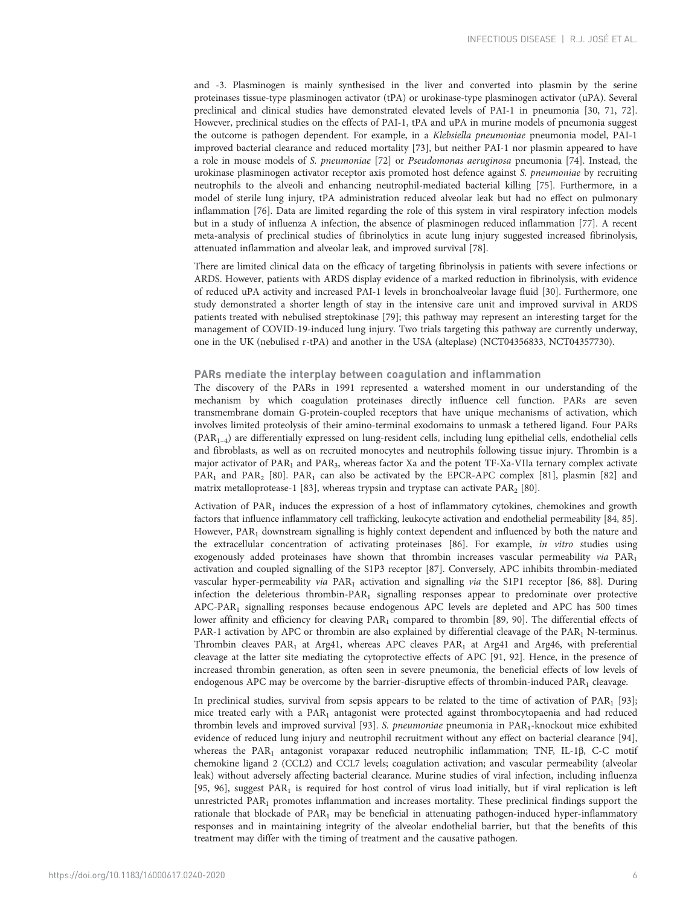and -3. Plasminogen is mainly synthesised in the liver and converted into plasmin by the serine proteinases tissue-type plasminogen activator (tPA) or urokinase-type plasminogen activator (uPA). Several preclinical and clinical studies have demonstrated elevated levels of PAI-1 in pneumonia [[30,](#page-8-0) [71](#page-10-0), [72](#page-10-0)]. However, preclinical studies on the effects of PAI-1, tPA and uPA in murine models of pneumonia suggest the outcome is pathogen dependent. For example, in a Klebsiella pneumoniae pneumonia model, PAI-1 improved bacterial clearance and reduced mortality [\[73\]](#page-10-0), but neither PAI-1 nor plasmin appeared to have a role in mouse models of S. pneumoniae [\[72\]](#page-10-0) or Pseudomonas aeruginosa pneumonia [[74](#page-10-0)]. Instead, the urokinase plasminogen activator receptor axis promoted host defence against S. pneumoniae by recruiting neutrophils to the alveoli and enhancing neutrophil-mediated bacterial killing [[75](#page-10-0)]. Furthermore, in a model of sterile lung injury, tPA administration reduced alveolar leak but had no effect on pulmonary inflammation [\[76\]](#page-10-0). Data are limited regarding the role of this system in viral respiratory infection models but in a study of influenza A infection, the absence of plasminogen reduced inflammation [\[77\]](#page-10-0). A recent meta-analysis of preclinical studies of fibrinolytics in acute lung injury suggested increased fibrinolysis, attenuated inflammation and alveolar leak, and improved survival [\[78\]](#page-10-0).

There are limited clinical data on the efficacy of targeting fibrinolysis in patients with severe infections or ARDS. However, patients with ARDS display evidence of a marked reduction in fibrinolysis, with evidence of reduced uPA activity and increased PAI-1 levels in bronchoalveolar lavage fluid [[30\]](#page-8-0). Furthermore, one study demonstrated a shorter length of stay in the intensive care unit and improved survival in ARDS patients treated with nebulised streptokinase [[79](#page-10-0)]; this pathway may represent an interesting target for the management of COVID-19-induced lung injury. Two trials targeting this pathway are currently underway, one in the UK (nebulised r-tPA) and another in the USA (alteplase) (NCT04356833, NCT04357730).

## PARs mediate the interplay between coagulation and inflammation

The discovery of the PARs in 1991 represented a watershed moment in our understanding of the mechanism by which coagulation proteinases directly influence cell function. PARs are seven transmembrane domain G-protein-coupled receptors that have unique mechanisms of activation, which involves limited proteolysis of their amino-terminal exodomains to unmask a tethered ligand. Four PARs (PAR1–4) are differentially expressed on lung-resident cells, including lung epithelial cells, endothelial cells and fibroblasts, as well as on recruited monocytes and neutrophils following tissue injury. Thrombin is a major activator of  $PAR_1$  and  $PAR_3$ , whereas factor Xa and the potent TF-Xa-VIIa ternary complex activate PAR<sub>1</sub> and PAR<sub>2</sub> [[80](#page-10-0)]. PAR<sub>1</sub> can also be activated by the EPCR-APC complex [\[81\]](#page-10-0), plasmin [\[82\]](#page-10-0) and matrix metalloprotease-1 [\[83\]](#page-10-0), whereas trypsin and tryptase can activate  $PAR<sub>2</sub>$  [\[80](#page-10-0)].

Activation of PAR<sub>1</sub> induces the expression of a host of inflammatory cytokines, chemokines and growth factors that influence inflammatory cell trafficking, leukocyte activation and endothelial permeability [\[84](#page-10-0), [85](#page-10-0)]. However, PAR<sub>1</sub> downstream signalling is highly context dependent and influenced by both the nature and the extracellular concentration of activating proteinases [\[86\]](#page-10-0). For example, in vitro studies using exogenously added proteinases have shown that thrombin increases vascular permeability via PAR1 activation and coupled signalling of the S1P3 receptor [\[87\]](#page-10-0). Conversely, APC inhibits thrombin-mediated vascular hyper-permeability via PAR<sub>1</sub> activation and signalling via the S1P1 receptor [[86, 88](#page-10-0)]. During infection the deleterious thrombin-PAR1 signalling responses appear to predominate over protective APC-PAR1 signalling responses because endogenous APC levels are depleted and APC has 500 times lower affinity and efficiency for cleaving PAR<sub>1</sub> compared to thrombin [[89](#page-10-0), [90](#page-10-0)]. The differential effects of PAR-1 activation by APC or thrombin are also explained by differential cleavage of the PAR<sub>1</sub> N-terminus. Thrombin cleaves PAR<sub>1</sub> at Arg41, whereas APC cleaves PAR<sub>1</sub> at Arg41 and Arg46, with preferential cleavage at the latter site mediating the cytoprotective effects of APC [\[91, 92\]](#page-10-0). Hence, in the presence of increased thrombin generation, as often seen in severe pneumonia, the beneficial effects of low levels of endogenous APC may be overcome by the barrier-disruptive effects of thrombin-induced PAR<sub>1</sub> cleavage.

In preclinical studies, survival from sepsis appears to be related to the time of activation of  $PAR<sub>1</sub>$  [[93](#page-10-0)]; mice treated early with a PAR<sub>1</sub> antagonist were protected against thrombocytopaenia and had reduced thrombin levels and improved survival [[93](#page-10-0)]. S. pneumoniae pneumonia in PAR<sub>1</sub>-knockout mice exhibited evidence of reduced lung injury and neutrophil recruitment without any effect on bacterial clearance [[94](#page-10-0)], whereas the PAR<sub>1</sub> antagonist vorapaxar reduced neutrophilic inflammation; TNF, IL-1β, C-C motif chemokine ligand 2 (CCL2) and CCL7 levels; coagulation activation; and vascular permeability (alveolar leak) without adversely affecting bacterial clearance. Murine studies of viral infection, including influenza [\[95, 96](#page-10-0)], suggest PAR<sub>1</sub> is required for host control of virus load initially, but if viral replication is left unrestricted PAR1 promotes inflammation and increases mortality. These preclinical findings support the rationale that blockade of  $PAR<sub>1</sub>$  may be beneficial in attenuating pathogen-induced hyper-inflammatory responses and in maintaining integrity of the alveolar endothelial barrier, but that the benefits of this treatment may differ with the timing of treatment and the causative pathogen.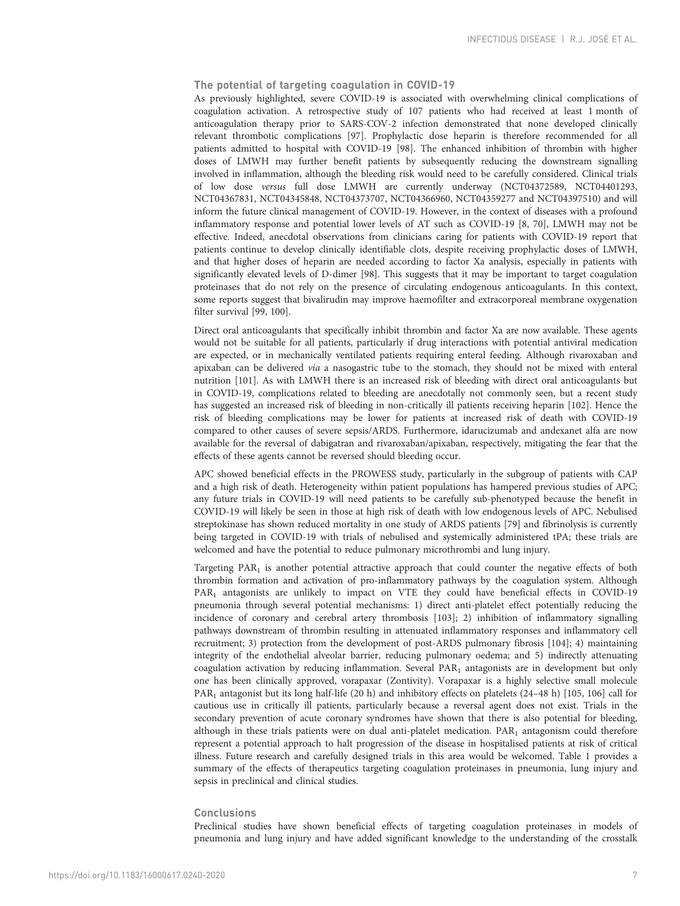## The potential of targeting coagulation in COVID-19

As previously highlighted, severe COVID-19 is associated with overwhelming clinical complications of coagulation activation. A retrospective study of 107 patients who had received at least 1 month of anticoagulation therapy prior to SARS-COV-2 infection demonstrated that none developed clinically relevant thrombotic complications [\[97\]](#page-10-0). Prophylactic dose heparin is therefore recommended for all patients admitted to hospital with COVID-19 [\[98](#page-10-0)]. The enhanced inhibition of thrombin with higher doses of LMWH may further benefit patients by subsequently reducing the downstream signalling involved in inflammation, although the bleeding risk would need to be carefully considered. Clinical trials of low dose versus full dose LMWH are currently underway (NCT04372589, NCT04401293, NCT04367831, NCT04345848, NCT04373707, NCT04366960, NCT04359277 and NCT04397510) and will inform the future clinical management of COVID-19. However, in the context of diseases with a profound inflammatory response and potential lower levels of AT such as COVID-19 [\[8,](#page-8-0) [70\]](#page-10-0), LMWH may not be effective. Indeed, anecdotal observations from clinicians caring for patients with COVID-19 report that patients continue to develop clinically identifiable clots, despite receiving prophylactic doses of LMWH, and that higher doses of heparin are needed according to factor Xa analysis, especially in patients with significantly elevated levels of D-dimer [\[98\]](#page-10-0). This suggests that it may be important to target coagulation proteinases that do not rely on the presence of circulating endogenous anticoagulants. In this context, some reports suggest that bivalirudin may improve haemofilter and extracorporeal membrane oxygenation filter survival [[99](#page-10-0), [100\]](#page-10-0).

Direct oral anticoagulants that specifically inhibit thrombin and factor Xa are now available. These agents would not be suitable for all patients, particularly if drug interactions with potential antiviral medication are expected, or in mechanically ventilated patients requiring enteral feeding. Although rivaroxaban and apixaban can be delivered *via* a nasogastric tube to the stomach, they should not be mixed with enteral nutrition [[101\]](#page-10-0). As with LMWH there is an increased risk of bleeding with direct oral anticoagulants but in COVID-19, complications related to bleeding are anecdotally not commonly seen, but a recent study has suggested an increased risk of bleeding in non-critically ill patients receiving heparin [\[102](#page-11-0)]. Hence the risk of bleeding complications may be lower for patients at increased risk of death with COVID-19 compared to other causes of severe sepsis/ARDS. Furthermore, idarucizumab and andexanet alfa are now available for the reversal of dabigatran and rivaroxaban/apixaban, respectively, mitigating the fear that the effects of these agents cannot be reversed should bleeding occur.

APC showed beneficial effects in the PROWESS study, particularly in the subgroup of patients with CAP and a high risk of death. Heterogeneity within patient populations has hampered previous studies of APC; any future trials in COVID-19 will need patients to be carefully sub-phenotyped because the benefit in COVID-19 will likely be seen in those at high risk of death with low endogenous levels of APC. Nebulised streptokinase has shown reduced mortality in one study of ARDS patients [[79](#page-10-0)] and fibrinolysis is currently being targeted in COVID-19 with trials of nebulised and systemically administered tPA; these trials are welcomed and have the potential to reduce pulmonary microthrombi and lung injury.

Targeting PAR<sub>1</sub> is another potential attractive approach that could counter the negative effects of both thrombin formation and activation of pro-inflammatory pathways by the coagulation system. Although PAR<sub>1</sub> antagonists are unlikely to impact on VTE they could have beneficial effects in COVID-19 pneumonia through several potential mechanisms: 1) direct anti-platelet effect potentially reducing the incidence of coronary and cerebral artery thrombosis [[103\]](#page-11-0); 2) inhibition of inflammatory signalling pathways downstream of thrombin resulting in attenuated inflammatory responses and inflammatory cell recruitment; 3) protection from the development of post-ARDS pulmonary fibrosis [[104\]](#page-11-0); 4) maintaining integrity of the endothelial alveolar barrier, reducing pulmonary oedema; and 5) indirectly attenuating coagulation activation by reducing inflammation. Several PAR<sub>1</sub> antagonists are in development but only one has been clinically approved, vorapaxar (Zontivity). Vorapaxar is a highly selective small molecule PAR<sub>1</sub> antagonist but its long half-life (20 h) and inhibitory effects on platelets (24–48 h) [[105, 106](#page-11-0)] call for cautious use in critically ill patients, particularly because a reversal agent does not exist. Trials in the secondary prevention of acute coronary syndromes have shown that there is also potential for bleeding, although in these trials patients were on dual anti-platelet medication.  $PAR<sub>1</sub>$  antagonism could therefore represent a potential approach to halt progression of the disease in hospitalised patients at risk of critical illness. Future research and carefully designed trials in this area would be welcomed. [Table 1](#page-7-0) provides a summary of the effects of therapeutics targeting coagulation proteinases in pneumonia, lung injury and sepsis in preclinical and clinical studies.

## **Conclusions**

Preclinical studies have shown beneficial effects of targeting coagulation proteinases in models of pneumonia and lung injury and have added significant knowledge to the understanding of the crosstalk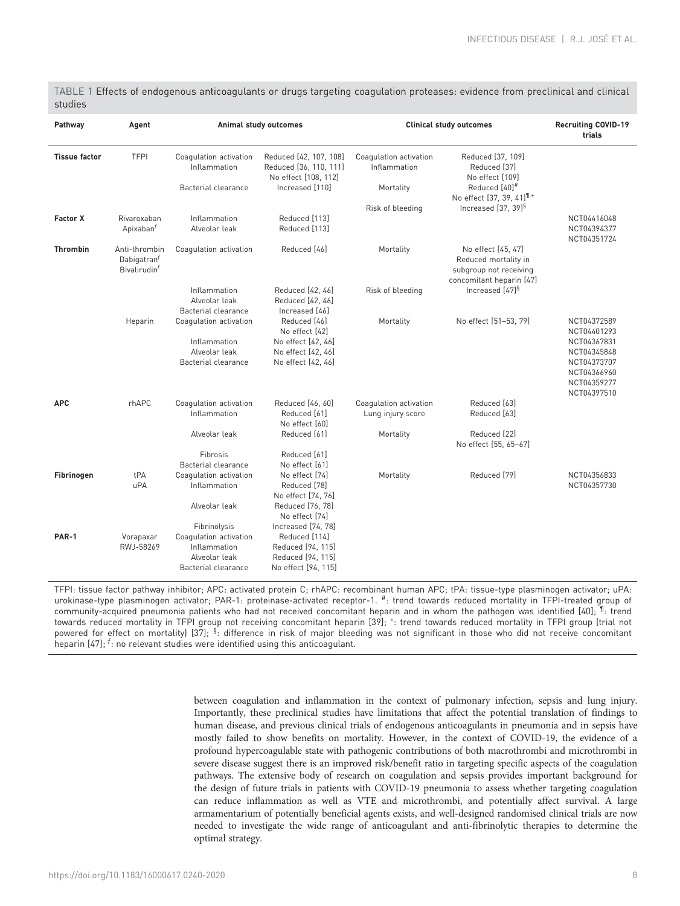<span id="page-7-0"></span>

| TABLE 1 Effects of endogenous anticoagulants or drugs targeting coagulation proteases: evidence from preclinical and clinical |  |  |  |  |
|-------------------------------------------------------------------------------------------------------------------------------|--|--|--|--|
| studies                                                                                                                       |  |  |  |  |

| Pathway              | Agent                                                                |                                                                                                | Animal study outcomes<br><b>Clinical study outcomes</b>                                                      |                                             |                                                                                                  |                                                                                                                      |
|----------------------|----------------------------------------------------------------------|------------------------------------------------------------------------------------------------|--------------------------------------------------------------------------------------------------------------|---------------------------------------------|--------------------------------------------------------------------------------------------------|----------------------------------------------------------------------------------------------------------------------|
| <b>Tissue factor</b> | <b>TFPI</b>                                                          | Coagulation activation<br>Inflammation                                                         | Reduced [42, 107, 108]<br>Reduced [36, 110, 111]<br>No effect [108, 112]                                     | Coagulation activation<br>Inflammation      | Reduced [37, 109]<br>Reduced [37]<br>No effect [109]                                             |                                                                                                                      |
|                      |                                                                      | Bacterial clearance                                                                            | Increased [110]                                                                                              | Mortality                                   | Reduced [40]#<br>No effect [37, 39, 41] <sup>1,+</sup>                                           |                                                                                                                      |
| <b>Factor X</b>      | Rivaroxaban<br>Apixaban <sup>f</sup>                                 | Inflammation<br>Alveolar leak                                                                  | Reduced [113]<br>Reduced [113]                                                                               | Risk of bleeding                            | Increased [37, 39] <sup>§</sup>                                                                  | NCT04416048<br>NCT04394377<br>NCT04351724                                                                            |
| <b>Thrombin</b>      | Anti-thrombin<br>Dabigatran <sup>t</sup><br>Bivalirudin <sup>f</sup> | Coagulation activation                                                                         | Reduced [46]                                                                                                 | Mortality                                   | No effect [45, 47]<br>Reduced mortality in<br>subgroup not receiving<br>concomitant heparin [47] |                                                                                                                      |
|                      |                                                                      | Inflammation<br>Alveolar leak<br>Bacterial clearance                                           | Reduced [42, 46]<br>Reduced [42, 46]<br>Increased [46]                                                       | Risk of bleeding                            | Increased [47] <sup>§</sup>                                                                      |                                                                                                                      |
|                      | Heparin                                                              | Coagulation activation<br>Inflammation<br>Alveolar leak<br><b>Bacterial clearance</b>          | Reduced [46]<br>No effect [42]<br>No effect [42, 46]<br>No effect [42, 46]<br>No effect [42, 46]             | Mortality                                   | No effect [51-53, 79]                                                                            | NCT04372589<br>NCT04401293<br>NCT04367831<br>NCT04345848<br>NCT04373707<br>NCT04366960<br>NCT04359277<br>NCT04397510 |
| <b>APC</b>           | rhAPC                                                                | Coagulation activation<br>Inflammation                                                         | Reduced [46, 60]<br>Reduced [61]<br>No effect [60]                                                           | Coagulation activation<br>Lung injury score | Reduced [63]<br>Reduced [63]                                                                     |                                                                                                                      |
|                      |                                                                      | Alveolar leak<br>Fibrosis                                                                      | Reduced [61]<br>Reduced [61]                                                                                 | Mortality                                   | Reduced [22]<br>No effect [55, 65-67]                                                            |                                                                                                                      |
| Fibrinogen           | tPA<br>uPA                                                           | <b>Bacterial clearance</b><br>Coagulation activation<br>Inflammation<br>Alveolar leak          | No effect [61]<br>No effect [74]<br>Reduced [78]<br>No effect [74, 76]<br>Reduced [76, 78]<br>No effect [74] | Mortality                                   | Reduced [79]                                                                                     | NCT04356833<br>NCT04357730                                                                                           |
| <b>PAR-1</b>         | Vorapaxar<br>RWJ-58269                                               | Fibrinolysis<br>Coagulation activation<br>Inflammation<br>Alveolar leak<br>Bacterial clearance | Increased [74, 78]<br>Reduced [114]<br>Reduced [94, 115]<br>Reduced [94, 115]<br>No effect [94, 115]         |                                             |                                                                                                  |                                                                                                                      |

TFPI: tissue factor pathway inhibitor; APC: activated protein C; rhAPC: recombinant human APC; tPA: tissue-type plasminogen activator; uPA: urokinase-type plasminogen activator; PAR-1: proteinase-activated receptor-1. <sup>#</sup>: trend towards reduced mortality in TFPI-treated group of community-acquired pneumonia patients who had not received concomitant heparin and in whom the pathogen was identified [40]; <sup>1</sup> trend towards reduced mortality in TFPI group not receiving concomitant heparin [39];  $^+$ : trend towards reduced mortality in TFPI group (trial not powered for effect on mortality) [37]; <sup>§</sup>: difference in risk of major bleeding was not significant in those who did not receive concomitant heparin [47];  $^f$ : no relevant studies were identified using this anticoagulant.

> between coagulation and inflammation in the context of pulmonary infection, sepsis and lung injury. Importantly, these preclinical studies have limitations that affect the potential translation of findings to human disease, and previous clinical trials of endogenous anticoagulants in pneumonia and in sepsis have mostly failed to show benefits on mortality. However, in the context of COVID-19, the evidence of a profound hypercoagulable state with pathogenic contributions of both macrothrombi and microthrombi in severe disease suggest there is an improved risk/benefit ratio in targeting specific aspects of the coagulation pathways. The extensive body of research on coagulation and sepsis provides important background for the design of future trials in patients with COVID-19 pneumonia to assess whether targeting coagulation can reduce inflammation as well as VTE and microthrombi, and potentially affect survival. A large armamentarium of potentially beneficial agents exists, and well-designed randomised clinical trials are now needed to investigate the wide range of anticoagulant and anti-fibrinolytic therapies to determine the optimal strategy.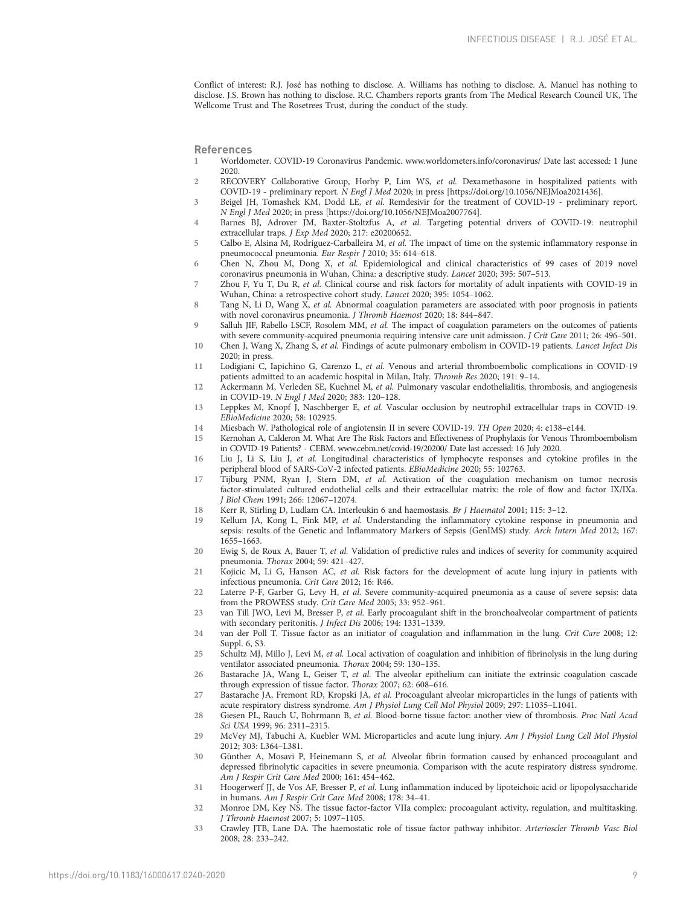<span id="page-8-0"></span>Conflict of interest: R.J. José has nothing to disclose. A. Williams has nothing to disclose. A. Manuel has nothing to disclose. J.S. Brown has nothing to disclose. R.C. Chambers reports grants from The Medical Research Council UK, The Wellcome Trust and The Rosetrees Trust, during the conduct of the study.

References

- 1 Worldometer. COVID-19 Coronavirus Pandemic. [www.worldometers.info/coronavirus/](http://www.worldometers.info/coronavirus/) Date last accessed: 1 June 2020.
- 2 RECOVERY Collaborative Group, Horby P, Lim WS, et al. Dexamethasone in hospitalized patients with COVID-19 - preliminary report. N Engl J Med 2020; in press [\[https://doi.org/10.1056/NEJMoa2021436\]](https://doi.org/10.1056/NEJMoa2021436).
- 3 Beigel JH, Tomashek KM, Dodd LE, et al. Remdesivir for the treatment of COVID-19 preliminary report. N Engl J Med 2020; in press [\[https://doi.org/10.1056/NEJMoa2007764\]](https://doi.org/10.1056/NEJMoa2007764).
- 4 Barnes BJ, Adrover JM, Baxter-Stoltzfus A, et al. Targeting potential drivers of COVID-19: neutrophil extracellular traps. J Exp Med 2020; 217: e20200652.
- 5 Calbo E, Alsina M, Rodríguez-Carballeira M, et al. The impact of time on the systemic inflammatory response in pneumococcal pneumonia. Eur Respir J 2010; 35: 614–618.
- 6 Chen N, Zhou M, Dong X, et al. Epidemiological and clinical characteristics of 99 cases of 2019 novel coronavirus pneumonia in Wuhan, China: a descriptive study. Lancet 2020; 395: 507–513.
- 7 Zhou F, Yu T, Du R, et al. Clinical course and risk factors for mortality of adult inpatients with COVID-19 in Wuhan, China: a retrospective cohort study. Lancet 2020; 395: 1054–1062.
- 8 Tang N, Li D, Wang X, et al. Abnormal coagulation parameters are associated with poor prognosis in patients with novel coronavirus pneumonia. J Thromb Haemost 2020; 18: 844–847.
- 9 Salluh JIF, Rabello LSCF, Rosolem MM, et al. The impact of coagulation parameters on the outcomes of patients with severe community-acquired pneumonia requiring intensive care unit admission. J Crit Care 2011; 26: 496-501.
- 10 Chen J, Wang X, Zhang S, et al. Findings of acute pulmonary embolism in COVID-19 patients. Lancet Infect Dis 2020; in press.
- 11 Lodigiani C, Iapichino G, Carenzo L, et al. Venous and arterial thromboembolic complications in COVID-19 patients admitted to an academic hospital in Milan, Italy. Thromb Res 2020; 191: 9–14.
- 12 Ackermann M, Verleden SE, Kuehnel M, et al. Pulmonary vascular endothelialitis, thrombosis, and angiogenesis in COVID-19. N Engl J Med 2020; 383: 120–128.
- 13 Leppkes M, Knopf J, Naschberger E, et al. Vascular occlusion by neutrophil extracellular traps in COVID-19. EBioMedicine 2020; 58: 102925.
- 14 Miesbach W. Pathological role of angiotensin II in severe COVID-19. TH Open 2020; 4: e138–e144.
- 15 Kernohan A, Calderon M. What Are The Risk Factors and Effectiveness of Prophylaxis for Venous Thromboembolism in COVID-19 Patients? - CEBM. [www.cebm.net/covid-19/20200/](http://www.cebm.net/covid-19/20200/) Date last accessed: 16 July 2020.
- 16 Liu J, Li S, Liu J, et al. Longitudinal characteristics of lymphocyte responses and cytokine profiles in the peripheral blood of SARS-CoV-2 infected patients. EBioMedicine 2020; 55: 102763.
- 17 Tijburg PNM, Ryan J, Stern DM, et al. Activation of the coagulation mechanism on tumor necrosis factor-stimulated cultured endothelial cells and their extracellular matrix: the role of flow and factor IX/IXa. J Biol Chem 1991; 266: 12067–12074.
- 18 Kerr R, Stirling D, Ludlam CA. Interleukin 6 and haemostasis. Br J Haematol 2001; 115: 3–12.
- 19 Kellum JA, Kong L, Fink MP, et al. Understanding the inflammatory cytokine response in pneumonia and sepsis: results of the Genetic and Inflammatory Markers of Sepsis (GenIMS) study. Arch Intern Med 2012; 167: 1655–1663.
- 20 Ewig S, de Roux A, Bauer T, et al. Validation of predictive rules and indices of severity for community acquired pneumonia. Thorax 2004; 59: 421–427.
- 21 Kojicic M, Li G, Hanson AC, et al. Risk factors for the development of acute lung injury in patients with infectious pneumonia. Crit Care 2012; 16: R46.
- 22 Laterre P-F, Garber G, Levy H, et al. Severe community-acquired pneumonia as a cause of severe sepsis: data from the PROWESS study. Crit Care Med 2005; 33: 952–961.
- 23 van Till JWO, Levi M, Bresser P, et al. Early procoagulant shift in the bronchoalveolar compartment of patients with secondary peritonitis. J Infect Dis 2006; 194: 1331–1339.
- 24 van der Poll T. Tissue factor as an initiator of coagulation and inflammation in the lung. Crit Care 2008; 12: Suppl. 6, S3.
- 25 Schultz MJ, Millo J, Levi M, et al. Local activation of coagulation and inhibition of fibrinolysis in the lung during ventilator associated pneumonia. Thorax 2004; 59: 130–135.
- 26 Bastarache JA, Wang L, Geiser T, et al. The alveolar epithelium can initiate the extrinsic coagulation cascade through expression of tissue factor. Thorax 2007; 62: 608–616.
- 27 Bastarache JA, Fremont RD, Kropski JA, et al. Procoagulant alveolar microparticles in the lungs of patients with acute respiratory distress syndrome. Am J Physiol Lung Cell Mol Physiol 2009; 297: L1035–L1041.
- 28 Giesen PL, Rauch U, Bohrmann B, et al. Blood-borne tissue factor: another view of thrombosis. Proc Natl Acad Sci USA 1999; 96: 2311–2315.
- 29 McVey MJ, Tabuchi A, Kuebler WM. Microparticles and acute lung injury. Am J Physiol Lung Cell Mol Physiol 2012; 303: L364–L381.
- 30 Günther A, Mosavi P, Heinemann S, et al. Alveolar fibrin formation caused by enhanced procoagulant and depressed fibrinolytic capacities in severe pneumonia. Comparison with the acute respiratory distress syndrome. Am J Respir Crit Care Med 2000; 161: 454–462.
- 31 Hoogerwerf JJ, de Vos AF, Bresser P, et al. Lung inflammation induced by lipoteichoic acid or lipopolysaccharide in humans. Am J Respir Crit Care Med 2008; 178: 34–41.
- 32 Monroe DM, Key NS. The tissue factor-factor VIIa complex: procoagulant activity, regulation, and multitasking. J Thromb Haemost 2007; 5: 1097–1105.
- 33 Crawley JTB, Lane DA. The haemostatic role of tissue factor pathway inhibitor. Arterioscler Thromb Vasc Biol 2008; 28: 233–242.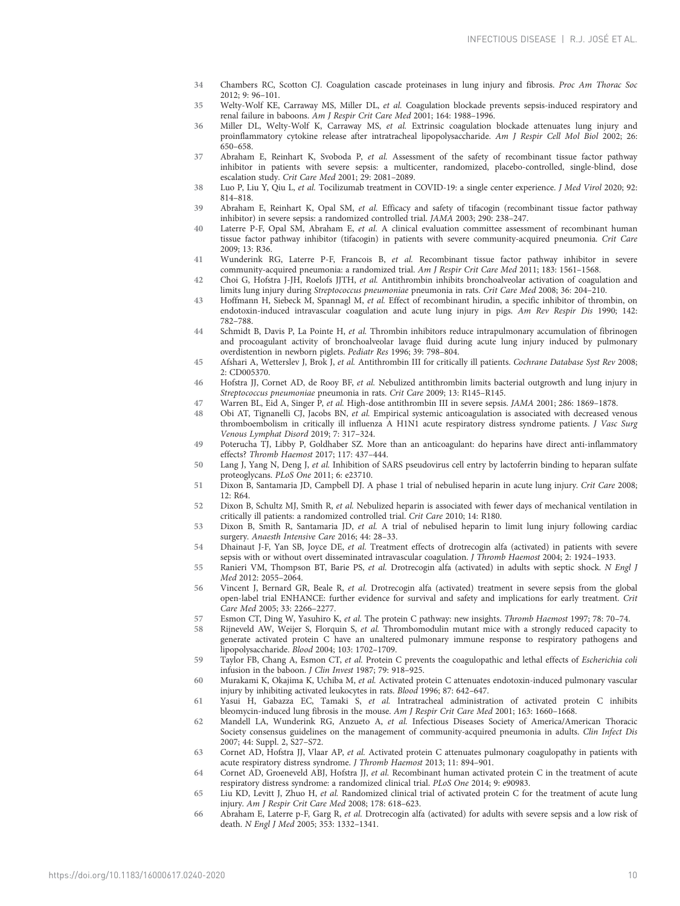- <span id="page-9-0"></span>34 Chambers RC, Scotton CJ. Coagulation cascade proteinases in lung injury and fibrosis. Proc Am Thorac Soc 2012; 9: 96–101.
- 35 Welty-Wolf KE, Carraway MS, Miller DL, et al. Coagulation blockade prevents sepsis-induced respiratory and renal failure in baboons. Am J Respir Crit Care Med 2001; 164: 1988–1996.
- 36 Miller DL, Welty-Wolf K, Carraway MS, et al. Extrinsic coagulation blockade attenuates lung injury and proinflammatory cytokine release after intratracheal lipopolysaccharide. Am J Respir Cell Mol Biol 2002; 26: 650–658.
- 37 Abraham E, Reinhart K, Svoboda P, et al. Assessment of the safety of recombinant tissue factor pathway inhibitor in patients with severe sepsis: a multicenter, randomized, placebo-controlled, single-blind, dose escalation study. Crit Care Med 2001; 29: 2081–2089.
- 38 Luo P, Liu Y, Qiu L, et al. Tocilizumab treatment in COVID-19: a single center experience. J Med Virol 2020; 92: 814–818.
- 39 Abraham E, Reinhart K, Opal SM, et al. Efficacy and safety of tifacogin (recombinant tissue factor pathway inhibitor) in severe sepsis: a randomized controlled trial. JAMA 2003; 290: 238–247.
- 40 Laterre P-F, Opal SM, Abraham E, et al. A clinical evaluation committee assessment of recombinant human tissue factor pathway inhibitor (tifacogin) in patients with severe community-acquired pneumonia. Crit Care 2009; 13: R36.
- 41 Wunderink RG, Laterre P-F, Francois B, et al. Recombinant tissue factor pathway inhibitor in severe community-acquired pneumonia: a randomized trial. Am J Respir Crit Care Med 2011; 183: 1561-1568.
- 42 Choi G, Hofstra J-JH, Roelofs JJTH, et al. Antithrombin inhibits bronchoalveolar activation of coagulation and limits lung injury during Streptococcus pneumoniae pneumonia in rats. Crit Care Med 2008; 36: 204–210.
- 43 Hoffmann H, Siebeck M, Spannagl M, et al. Effect of recombinant hirudin, a specific inhibitor of thrombin, on endotoxin-induced intravascular coagulation and acute lung injury in pigs. Am Rev Respir Dis 1990; 142: 782–788.
- 44 Schmidt B, Davis P, La Pointe H, et al. Thrombin inhibitors reduce intrapulmonary accumulation of fibrinogen and procoagulant activity of bronchoalveolar lavage fluid during acute lung injury induced by pulmonary overdistention in newborn piglets. Pediatr Res 1996; 39: 798–804.
- 45 Afshari A, Wetterslev J, Brok J, et al. Antithrombin III for critically ill patients. Cochrane Database Syst Rev 2008; 2: CD005370.
- 46 Hofstra JJ, Cornet AD, de Rooy BF, et al. Nebulized antithrombin limits bacterial outgrowth and lung injury in Streptococcus pneumoniae pneumonia in rats. Crit Care 2009; 13: R145–R145.
- 47 Warren BL, Eid A, Singer P, et al. High-dose antithrombin III in severe sepsis. JAMA 2001; 286: 1869-1878.
- 48 Obi AT, Tignanelli CJ, Jacobs BN, et al. Empirical systemic anticoagulation is associated with decreased venous thromboembolism in critically ill influenza A H1N1 acute respiratory distress syndrome patients. J Vasc Surg Venous Lymphat Disord 2019; 7: 317–324.
- 49 Poterucha TJ, Libby P, Goldhaber SZ. More than an anticoagulant: do heparins have direct anti-inflammatory effects? Thromb Haemost 2017; 117: 437–444.
- 50 Lang J, Yang N, Deng J, et al. Inhibition of SARS pseudovirus cell entry by lactoferrin binding to heparan sulfate proteoglycans. PLoS One 2011; 6: e23710.
- 51 Dixon B, Santamaria JD, Campbell DJ. A phase 1 trial of nebulised heparin in acute lung injury. Crit Care 2008; 12: R64.
- 52 Dixon B, Schultz MJ, Smith R, et al. Nebulized heparin is associated with fewer days of mechanical ventilation in critically ill patients: a randomized controlled trial. Crit Care 2010; 14: R180.
- 53 Dixon B, Smith R, Santamaria JD, et al. A trial of nebulised heparin to limit lung injury following cardiac surgery. Anaesth Intensive Care 2016; 44: 28–33.
- 54 Dhainaut J-F, Yan SB, Joyce DE, et al. Treatment effects of drotrecogin alfa (activated) in patients with severe sepsis with or without overt disseminated intravascular coagulation. J Thromb Haemost 2004; 2: 1924–1933.
- 55 Ranieri VM, Thompson BT, Barie PS, et al. Drotrecogin alfa (activated) in adults with septic shock. N Engl J Med 2012: 2055–2064.
- 56 Vincent J, Bernard GR, Beale R, et al. Drotrecogin alfa (activated) treatment in severe sepsis from the global open-label trial ENHANCE: further evidence for survival and safety and implications for early treatment. Crit Care Med 2005; 33: 2266–2277.
- 57 Esmon CT, Ding W, Yasuhiro K, et al. The protein C pathway: new insights. Thromb Haemost 1997; 78: 70–74.
- 58 Rijneveld AW, Weijer S, Florquin S, et al. Thrombomodulin mutant mice with a strongly reduced capacity to generate activated protein C have an unaltered pulmonary immune response to respiratory pathogens and lipopolysaccharide. Blood 2004; 103: 1702–1709.
- 59 Taylor FB, Chang A, Esmon CT, et al. Protein C prevents the coagulopathic and lethal effects of Escherichia coli infusion in the baboon. J Clin Invest 1987; 79: 918–925.
- 60 Murakami K, Okajima K, Uchiba M, et al. Activated protein C attenuates endotoxin-induced pulmonary vascular injury by inhibiting activated leukocytes in rats. Blood 1996; 87: 642–647.
- 61 Yasui H, Gabazza EC, Tamaki S, et al. Intratracheal administration of activated protein C inhibits bleomycin-induced lung fibrosis in the mouse. Am J Respir Crit Care Med 2001; 163: 1660-1668.
- 62 Mandell LA, Wunderink RG, Anzueto A, et al. Infectious Diseases Society of America/American Thoracic Society consensus guidelines on the management of community-acquired pneumonia in adults. Clin Infect Dis 2007; 44: Suppl. 2, S27–S72.
- 63 Cornet AD, Hofstra JJ, Vlaar AP, et al. Activated protein C attenuates pulmonary coagulopathy in patients with acute respiratory distress syndrome. J Thromb Haemost 2013; 11: 894–901.
- 64 Cornet AD, Groeneveld ABJ, Hofstra JJ, et al. Recombinant human activated protein C in the treatment of acute respiratory distress syndrome: a randomized clinical trial. PLoS One 2014; 9: e90983.
- 65 Liu KD, Levitt J, Zhuo H, et al. Randomized clinical trial of activated protein C for the treatment of acute lung injury. Am J Respir Crit Care Med 2008; 178: 618–623.
- 66 Abraham E, Laterre p-F, Garg R, et al. Drotrecogin alfa (activated) for adults with severe sepsis and a low risk of death. N Engl J Med 2005; 353: 1332–1341.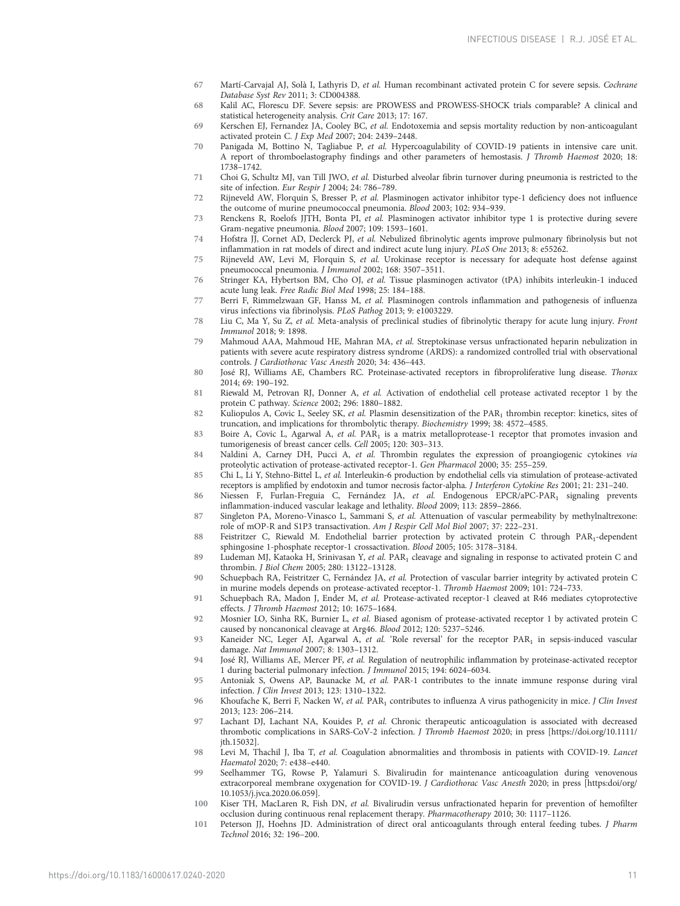- <span id="page-10-0"></span>67 Martí-Carvajal AJ, Solà I, Lathyris D, et al. Human recombinant activated protein C for severe sepsis. Cochrane Database Syst Rev 2011; 3: CD004388.
- 68 Kalil AC, Florescu DF. Severe sepsis: are PROWESS and PROWESS-SHOCK trials comparable? A clinical and statistical heterogeneity analysis. Crit Care 2013; 17: 167.
- 69 Kerschen EJ, Fernandez JA, Cooley BC, et al. Endotoxemia and sepsis mortality reduction by non-anticoagulant activated protein C. J Exp Med 2007; 204: 2439–2448.
- 70 Panigada M, Bottino N, Tagliabue P, et al. Hypercoagulability of COVID-19 patients in intensive care unit. A report of thromboelastography findings and other parameters of hemostasis. J Thromb Haemost 2020; 18: 1738–1742.
- 71 Choi G, Schultz MJ, van Till JWO, et al. Disturbed alveolar fibrin turnover during pneumonia is restricted to the site of infection. Eur Respir J 2004; 24: 786–789.
- 72 Rijneveld AW, Florquin S, Bresser P, et al. Plasminogen activator inhibitor type-1 deficiency does not influence the outcome of murine pneumococcal pneumonia. Blood 2003; 102: 934–939.
- 73 Renckens R, Roelofs JJTH, Bonta PI, et al. Plasminogen activator inhibitor type 1 is protective during severe Gram-negative pneumonia. Blood 2007; 109: 1593–1601.
- 74 Hofstra JJ, Cornet AD, Declerck PJ, et al. Nebulized fibrinolytic agents improve pulmonary fibrinolysis but not inflammation in rat models of direct and indirect acute lung injury. PLoS One 2013; 8: e55262.
- 75 Rijneveld AW, Levi M, Florquin S, et al. Urokinase receptor is necessary for adequate host defense against pneumococcal pneumonia. J Immunol 2002; 168: 3507–3511.
- 76 Stringer KA, Hybertson BM, Cho OJ, et al. Tissue plasminogen activator (tPA) inhibits interleukin-1 induced acute lung leak. Free Radic Biol Med 1998; 25: 184–188.
- 77 Berri F, Rimmelzwaan GF, Hanss M, et al. Plasminogen controls inflammation and pathogenesis of influenza virus infections via fibrinolysis. PLoS Pathog 2013; 9: e1003229.
- 78 Liu C, Ma Y, Su Z, et al. Meta-analysis of preclinical studies of fibrinolytic therapy for acute lung injury. Front Immunol 2018; 9: 1898.
- 79 Mahmoud AAA, Mahmoud HE, Mahran MA, et al. Streptokinase versus unfractionated heparin nebulization in patients with severe acute respiratory distress syndrome (ARDS): a randomized controlled trial with observational controls. J Cardiothorac Vasc Anesth 2020; 34: 436–443.
- 80 José RJ, Williams AE, Chambers RC. Proteinase-activated receptors in fibroproliferative lung disease. Thorax 2014; 69: 190–192.
- 81 Riewald M, Petrovan RJ, Donner A, et al. Activation of endothelial cell protease activated receptor 1 by the protein C pathway. Science 2002; 296: 1880–1882.
- 82 Kuliopulos A, Covic L, Seeley SK, et al. Plasmin desensitization of the PAR<sub>1</sub> thrombin receptor: kinetics, sites of truncation, and implications for thrombolytic therapy. Biochemistry 1999; 38: 4572–4585.
- 83 Boire A, Covic L, Agarwal A, et al. PAR<sub>1</sub> is a matrix metalloprotease-1 receptor that promotes invasion and tumorigenesis of breast cancer cells. Cell 2005; 120: 303–313.
- 84 Naldini A, Carney DH, Pucci A, et al. Thrombin regulates the expression of proangiogenic cytokines via proteolytic activation of protease-activated receptor-1. Gen Pharmacol 2000; 35: 255–259.
- 85 Chi L, Li Y, Stehno-Bittel L, et al. Interleukin-6 production by endothelial cells via stimulation of protease-activated receptors is amplified by endotoxin and tumor necrosis factor-alpha. J Interferon Cytokine Res 2001; 21: 231–240.
- 86 Niessen F, Furlan-Freguia C, Fernández JA, et al. Endogenous EPCR/aPC-PAR<sub>1</sub> signaling prevents inflammation-induced vascular leakage and lethality. Blood 2009; 113: 2859–2866.
- 87 Singleton PA, Moreno-Vinasco L, Sammani S, et al. Attenuation of vascular permeability by methylnaltrexone: role of mOP-R and S1P3 transactivation. Am J Respir Cell Mol Biol 2007; 37: 222–231.
- 88 Feistritzer C, Riewald M. Endothelial barrier protection by activated protein C through PAR1-dependent sphingosine 1-phosphate receptor-1 crossactivation. Blood 2005; 105: 3178–3184.
- 89 Ludeman MJ, Kataoka H, Srinivasan Y, et al. PAR<sub>1</sub> cleavage and signaling in response to activated protein C and thrombin. J Biol Chem 2005; 280: 13122–13128.
- 90 Schuepbach RA, Feistritzer C, Fernández JA, et al. Protection of vascular barrier integrity by activated protein C in murine models depends on protease-activated receptor-1. Thromb Haemost 2009; 101: 724–733.
- 91 Schuepbach RA, Madon J, Ender M, et al. Protease-activated receptor-1 cleaved at R46 mediates cytoprotective effects. J Thromb Haemost 2012; 10: 1675–1684.
- 92 Mosnier LO, Sinha RK, Burnier L, et al. Biased agonism of protease-activated receptor 1 by activated protein C caused by noncanonical cleavage at Arg46. Blood 2012; 120: 5237–5246.
- 93 Kaneider NC, Leger AJ, Agarwal A, et al. 'Role reversal' for the receptor PAR<sub>1</sub> in sepsis-induced vascular damage. Nat Immunol 2007; 8: 1303–1312.
- 94 José RJ, Williams AE, Mercer PF, et al. Regulation of neutrophilic inflammation by proteinase-activated receptor 1 during bacterial pulmonary infection. J Immunol 2015; 194: 6024–6034.
- 95 Antoniak S, Owens AP, Baunacke M, et al. PAR-1 contributes to the innate immune response during viral infection. J Clin Invest 2013; 123: 1310–1322.
- 96 Khoufache K, Berri F, Nacken W, et al. PAR<sub>1</sub> contributes to influenza A virus pathogenicity in mice. J Clin Invest 2013; 123: 206–214.
- 97 Lachant DJ, Lachant NA, Kouides P, et al. Chronic therapeutic anticoagulation is associated with decreased thrombotic complications in SARS-CoV-2 infection. J Thromb Haemost 2020; in press [\[https://doi.org/10.1111/](https://doi.org/10.1111/jth.15032) [jth.15032\]](https://doi.org/10.1111/jth.15032).
- 98 Levi M, Thachil J, Iba T, et al. Coagulation abnormalities and thrombosis in patients with COVID-19. Lancet Haematol 2020; 7: e438–e440.
- 99 Seelhammer TG, Rowse P, Yalamuri S. Bivalirudin for maintenance anticoagulation during venovenous extracorporeal membrane oxygenation for COVID-19. J Cardiothorac Vasc Anesth 2020; in press [[https:doi/org/](https:doi/org/10.1053/j.jvca.2020.06.059) [10.1053/j.jvca.2020.06.059\]](https:doi/org/10.1053/j.jvca.2020.06.059).
- 100 Kiser TH, MacLaren R, Fish DN, et al. Bivalirudin versus unfractionated heparin for prevention of hemofilter occlusion during continuous renal replacement therapy. Pharmacotherapy 2010; 30: 1117–1126.
- 101 Peterson JJ, Hoehns JD. Administration of direct oral anticoagulants through enteral feeding tubes. J Pharm Technol 2016; 32: 196–200.